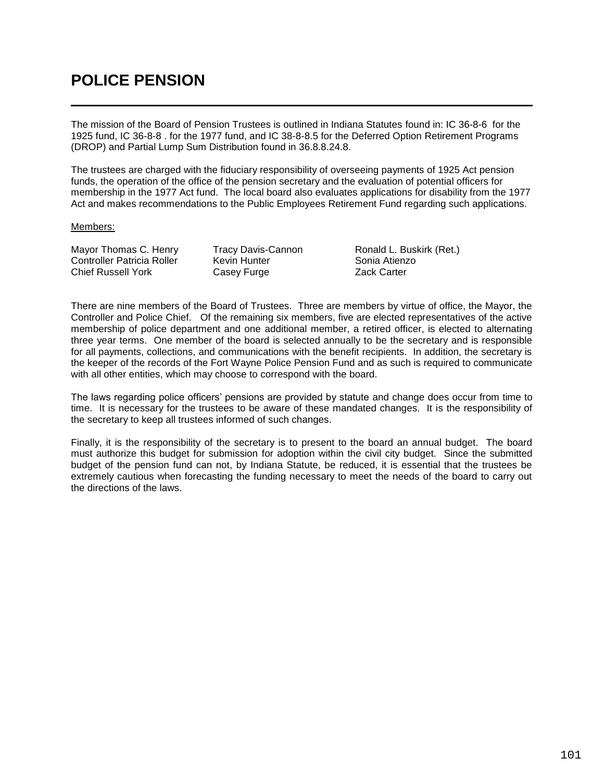## **POLICE PENSION**

The mission of the Board of Pension Trustees is outlined in Indiana Statutes found in: IC 36-8-6 for the 1925 fund, IC 36-8-8 . for the 1977 fund, and IC 38-8-8.5 for the Deferred Option Retirement Programs (DROP) and Partial Lump Sum Distribution found in 36.8.8.24.8.

The trustees are charged with the fiduciary responsibility of overseeing payments of 1925 Act pension funds, the operation of the office of the pension secretary and the evaluation of potential officers for membership in the 1977 Act fund. The local board also evaluates applications for disability from the 1977 Act and makes recommendations to the Public Employees Retirement Fund regarding such applications.

## Members:

Mayor Thomas C. Henry Tracy Davis-Cannon Ronald L. Buskirk (Ret.) Controller Patricia Roller Kevin Hunter Sonia Atienzo<br>Chief Russell York Casey Furge Sania Atienzo Chief Russell York Casey Furge

There are nine members of the Board of Trustees. Three are members by virtue of office, the Mayor, the Controller and Police Chief. Of the remaining six members, five are elected representatives of the active membership of police department and one additional member, a retired officer, is elected to alternating three year terms. One member of the board is selected annually to be the secretary and is responsible for all payments, collections, and communications with the benefit recipients. In addition, the secretary is the keeper of the records of the Fort Wayne Police Pension Fund and as such is required to communicate with all other entities, which may choose to correspond with the board.

The laws regarding police officers' pensions are provided by statute and change does occur from time to time. It is necessary for the trustees to be aware of these mandated changes. It is the responsibility of the secretary to keep all trustees informed of such changes.

Finally, it is the responsibility of the secretary is to present to the board an annual budget. The board must authorize this budget for submission for adoption within the civil city budget. Since the submitted budget of the pension fund can not, by Indiana Statute, be reduced, it is essential that the trustees be extremely cautious when forecasting the funding necessary to meet the needs of the board to carry out the directions of the laws.